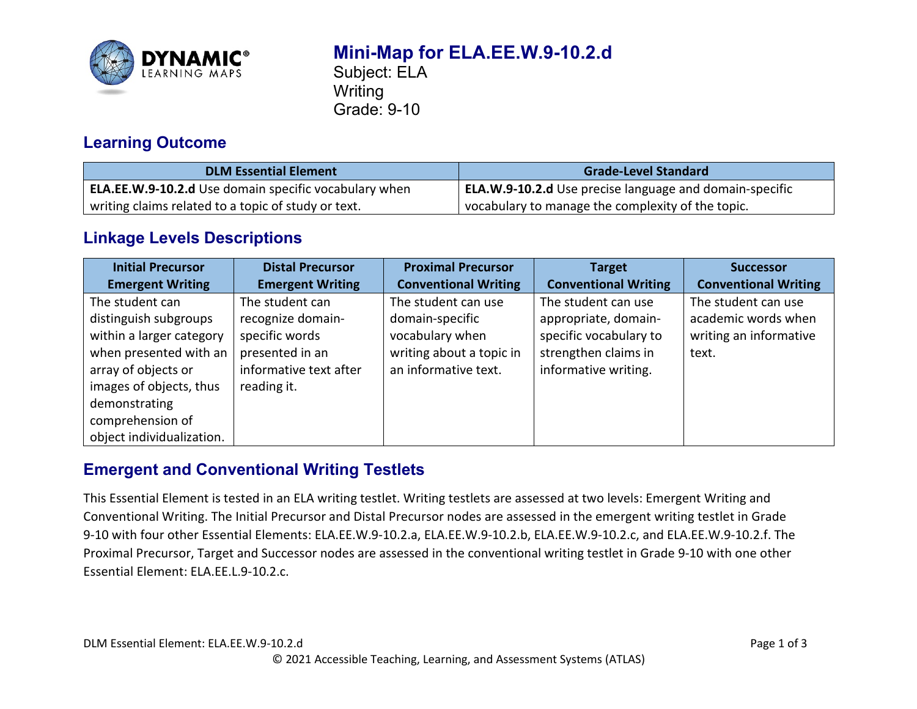

# **Mini-Map for ELA.EE.W.9-10.2.d**

Subject: ELA **Writing** Grade: 9-10

### **Learning Outcome**

| <b>DLM Essential Element</b>                          | <b>Grade-Level Standard</b>                             |
|-------------------------------------------------------|---------------------------------------------------------|
| ELA.EE.W.9-10.2.d Use domain specific vocabulary when | ELA.W.9-10.2.d Use precise language and domain-specific |
| writing claims related to a topic of study or text.   | vocabulary to manage the complexity of the topic.       |

### **Linkage Levels Descriptions**

| <b>Initial Precursor</b>  | <b>Distal Precursor</b> | <b>Proximal Precursor</b>   | <b>Target</b>               | <b>Successor</b>            |
|---------------------------|-------------------------|-----------------------------|-----------------------------|-----------------------------|
| <b>Emergent Writing</b>   | <b>Emergent Writing</b> | <b>Conventional Writing</b> | <b>Conventional Writing</b> | <b>Conventional Writing</b> |
| The student can           | The student can         | The student can use         | The student can use         | The student can use         |
| distinguish subgroups     | recognize domain-       | domain-specific             | appropriate, domain-        | academic words when         |
| within a larger category  | specific words          | vocabulary when             | specific vocabulary to      | writing an informative      |
| when presented with an    | presented in an         | writing about a topic in    | strengthen claims in        | text.                       |
| array of objects or       | informative text after  | an informative text.        | informative writing.        |                             |
| images of objects, thus   | reading it.             |                             |                             |                             |
| demonstrating             |                         |                             |                             |                             |
| comprehension of          |                         |                             |                             |                             |
| object individualization. |                         |                             |                             |                             |

## **Emergent and Conventional Writing Testlets**

This Essential Element is tested in an ELA writing testlet. Writing testlets are assessed at two levels: Emergent Writing and Conventional Writing. The Initial Precursor and Distal Precursor nodes are assessed in the emergent writing testlet in Grade 9-10 with four other Essential Elements: ELA.EE.W.9-10.2.a, ELA.EE.W.9-10.2.b, ELA.EE.W.9-10.2.c, and ELA.EE.W.9-10.2.f. The Proximal Precursor, Target and Successor nodes are assessed in the conventional writing testlet in Grade 9-10 with one other Essential Element: ELA.EE.L.9-10.2.c.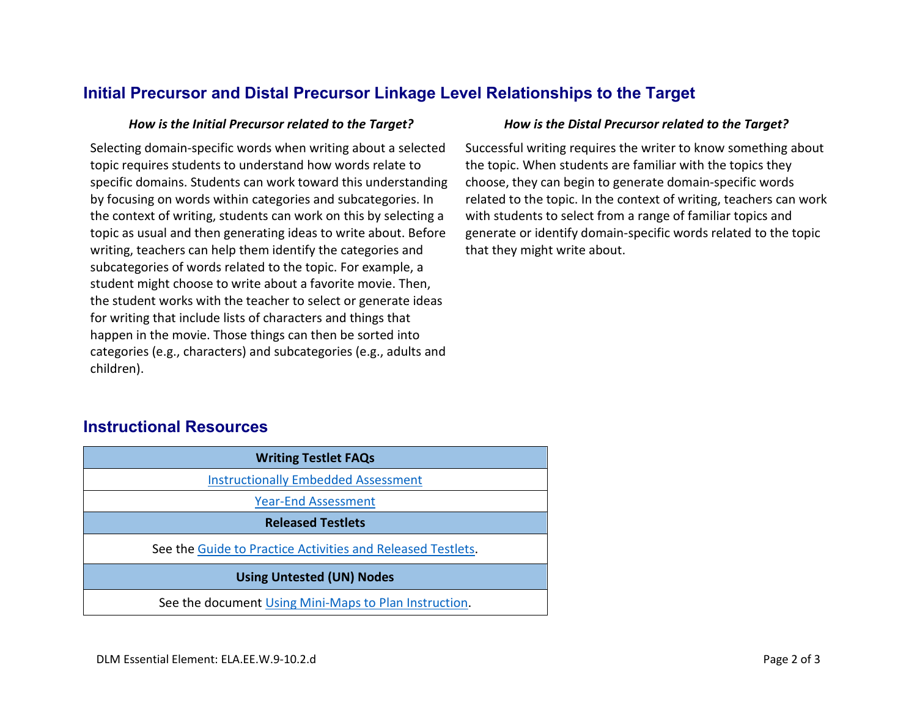#### **Initial Precursor and Distal Precursor Linkage Level Relationships to the Target**

Selecting domain-specific words when writing about a selected topic requires students to understand how words relate to specific domains. Students can work toward this understanding by focusing on words within categories and subcategories. In the context of writing, students can work on this by selecting a topic as usual and then generating ideas to write about. Before writing, teachers can help them identify the categories and subcategories of words related to the topic. For example, a student might choose to write about a favorite movie. Then, the student works with the teacher to select or generate ideas for writing that include lists of characters and things that happen in the movie. Those things can then be sorted into categories (e.g., characters) and subcategories (e.g., adults and children).

#### *How is the Initial Precursor related to the Target? How is the Distal Precursor related to the Target?*

Successful writing requires the writer to know something about the topic. When students are familiar with the topics they choose, they can begin to generate domain-specific words related to the topic. In the context of writing, teachers can work with students to select from a range of familiar topics and generate or identify domain-specific words related to the topic that they might write about.

#### **Instructional Resources**

| <b>Writing Testlet FAQs</b>                                 |  |  |
|-------------------------------------------------------------|--|--|
| <b>Instructionally Embedded Assessment</b>                  |  |  |
| <b>Year-End Assessment</b>                                  |  |  |
| <b>Released Testlets</b>                                    |  |  |
| See the Guide to Practice Activities and Released Testlets. |  |  |
| <b>Using Untested (UN) Nodes</b>                            |  |  |
| See the document Using Mini-Maps to Plan Instruction.       |  |  |